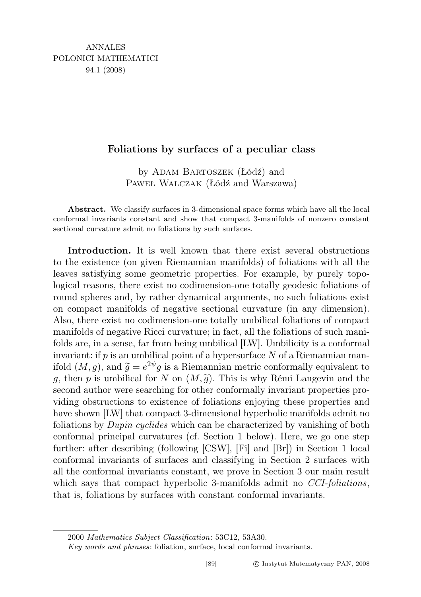## Foliations by surfaces of a peculiar class

by ADAM BARTOSZEK (Łódź) and Paweł Walczak (Łódź and Warszawa)

Abstract. We classify surfaces in 3-dimensional space forms which have all the local conformal invariants constant and show that compact 3-manifolds of nonzero constant sectional curvature admit no foliations by such surfaces.

Introduction. It is well known that there exist several obstructions to the existence (on given Riemannian manifolds) of foliations with all the leaves satisfying some geometric properties. For example, by purely topological reasons, there exist no codimension-one totally geodesic foliations of round spheres and, by rather dynamical arguments, no such foliations exist on compact manifolds of negative sectional curvature (in any dimension). Also, there exist no codimension-one totally umbilical foliations of compact manifolds of negative Ricci curvature; in fact, all the foliations of such manifolds are, in a sense, far from being umbilical [LW]. Umbilicity is a conformal invariant: if  $p$  is an umbilical point of a hypersurface N of a Riemannian manifold  $(M, g)$ , and  $\widetilde{g} = e^{2\psi} g$  is a Riemannian metric conformally equivalent to a then n is umbilical for N on  $(M, \widetilde{a})$ . This is why Rémi Langavin and the g, then p is umbilical for N on  $(M, \tilde{g})$ . This is why Rémi Langevin and the second author were searching for other conformally invariant properties providing obstructions to existence of foliations enjoying these properties and have shown [LW] that compact 3-dimensional hyperbolic manifolds admit no foliations by Dupin cyclides which can be characterized by vanishing of both conformal principal curvatures (cf. Section 1 below). Here, we go one step further: after describing (following [CSW], [Fi] and [Br]) in Section 1 local conformal invariants of surfaces and classifying in Section 2 surfaces with all the conformal invariants constant, we prove in Section 3 our main result which says that compact hyperbolic 3-manifolds admit no *CCI-foliations*, that is, foliations by surfaces with constant conformal invariants.

<sup>2000</sup> Mathematics Subject Classification: 53C12, 53A30.

Key words and phrases: foliation, surface, local conformal invariants.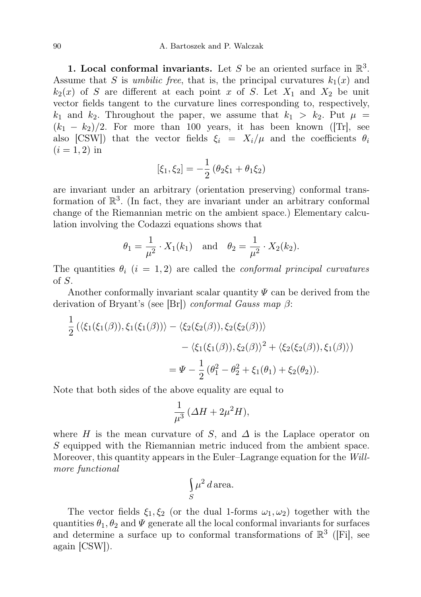1. Local conformal invariants. Let S be an oriented surface in  $\mathbb{R}^3$ . Assume that S is *umbilic free*, that is, the principal curvatures  $k_1(x)$  and  $k_2(x)$  of S are different at each point x of S. Let  $X_1$  and  $X_2$  be unit vector fields tangent to the curvature lines corresponding to, respectively,  $k_1$  and  $k_2$ . Throughout the paper, we assume that  $k_1 > k_2$ . Put  $\mu =$  $(k_1 - k_2)/2$ . For more than 100 years, it has been known ([Tr], see also [CSW]) that the vector fields  $\xi_i = X_i/\mu$  and the coefficients  $\theta_i$  $(i = 1, 2)$  in

$$
[\xi_1, \xi_2] = -\frac{1}{2} (\theta_2 \xi_1 + \theta_1 \xi_2)
$$

are invariant under an arbitrary (orientation preserving) conformal transformation of  $\mathbb{R}^3$ . (In fact, they are invariant under an arbitrary conformal change of the Riemannian metric on the ambient space.) Elementary calculation involving the Codazzi equations shows that

$$
\theta_1 = \frac{1}{\mu^2} \cdot X_1(k_1)
$$
 and  $\theta_2 = \frac{1}{\mu^2} \cdot X_2(k_2)$ .

The quantities  $\theta_i$  (i = 1,2) are called the *conformal principal curvatures* of S.

Another conformally invariant scalar quantity  $\Psi$  can be derived from the derivation of Bryant's (see [Br]) conformal Gauss map  $\beta$ :

$$
\frac{1}{2} (\langle \xi_1(\xi_1(\beta)), \xi_1(\xi_1(\beta)) \rangle - \langle \xi_2(\xi_2(\beta)), \xi_2(\xi_2(\beta)) \rangle \n- \langle \xi_1(\xi_1(\beta)), \xi_2(\beta) \rangle^2 + \langle \xi_2(\xi_2(\beta)), \xi_1(\beta) \rangle \n= \Psi - \frac{1}{2} (\theta_1^2 - \theta_2^2 + \xi_1(\theta_1) + \xi_2(\theta_2)).
$$

Note that both sides of the above equality are equal to

$$
\frac{1}{\mu^3} \left( \varDelta H + 2\mu^2 H \right),
$$

where H is the mean curvature of S, and  $\Delta$  is the Laplace operator on S equipped with the Riemannian metric induced from the ambient space. Moreover, this quantity appears in the Euler–Lagrange equation for the Willmore functional

$$
\int_{S} \mu^2 d \, \text{area.}
$$

The vector fields  $\xi_1, \xi_2$  (or the dual 1-forms  $\omega_1, \omega_2$ ) together with the quantities  $\theta_1, \theta_2$  and  $\Psi$  generate all the local conformal invariants for surfaces and determine a surface up to conformal transformations of  $\mathbb{R}^3$  ([Fi], see again [CSW]).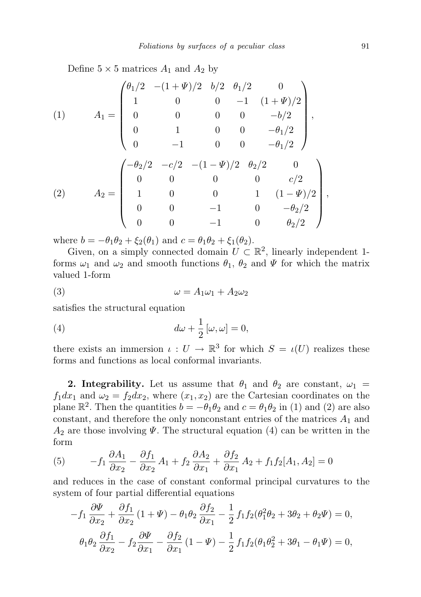Define  $5 \times 5$  matrices  $A_1$  and  $A_2$  by

(1) 
$$
A_1 = \begin{pmatrix} \theta_1/2 & -(1+\Psi)/2 & b/2 & \theta_1/2 & 0 \\ 1 & 0 & 0 & -1 & (1+\Psi)/2 \\ 0 & 0 & 0 & 0 & -b/2 \\ 0 & 1 & 0 & 0 & -\theta_1/2 \\ 0 & -1 & 0 & 0 & -\theta_1/2 \end{pmatrix},
$$
  
(2) 
$$
A_2 = \begin{pmatrix} -\theta_2/2 & -c/2 & -(1-\Psi)/2 & \theta_2/2 & 0 \\ 0 & 0 & 0 & 0 & c/2 \\ 1 & 0 & 0 & 1 & (1-\Psi)/2 \\ 0 & 0 & -1 & 0 & -\theta_2/2 \\ 0 & 0 & -1 & 0 & \theta_2/2 \end{pmatrix},
$$

where  $b = -\theta_1 \theta_2 + \xi_2(\theta_1)$  and  $c = \theta_1 \theta_2 + \xi_1(\theta_2)$ .

Given, on a simply connected domain  $U \subset \mathbb{R}^2$ , linearly independent 1forms  $\omega_1$  and  $\omega_2$  and smooth functions  $\theta_1$ ,  $\theta_2$  and  $\Psi$  for which the matrix valued 1-form

$$
\omega = A_1 \omega_1 + A_2 \omega_2
$$

satisfies the structural equation

(4) 
$$
d\omega + \frac{1}{2} [\omega, \omega] = 0,
$$

there exists an immersion  $\iota: U \to \mathbb{R}^3$  for which  $S = \iota(U)$  realizes these forms and functions as local conformal invariants.

2. Integrability. Let us assume that  $\theta_1$  and  $\theta_2$  are constant,  $\omega_1$  =  $f_1dx_1$  and  $\omega_2 = f_2dx_2$ , where  $(x_1, x_2)$  are the Cartesian coordinates on the plane  $\mathbb{R}^2$ . Then the quantities  $b = -\theta_1 \theta_2$  and  $c = \theta_1 \theta_2$  in (1) and (2) are also constant, and therefore the only nonconstant entries of the matrices  $A_1$  and  $A_2$  are those involving  $\Psi$ . The structural equation (4) can be written in the form

(5) 
$$
-f_1 \frac{\partial A_1}{\partial x_2} - \frac{\partial f_1}{\partial x_2} A_1 + f_2 \frac{\partial A_2}{\partial x_1} + \frac{\partial f_2}{\partial x_1} A_2 + f_1 f_2 [A_1, A_2] = 0
$$

and reduces in the case of constant conformal principal curvatures to the system of four partial differential equations

$$
-f_1 \frac{\partial \Psi}{\partial x_2} + \frac{\partial f_1}{\partial x_2} (1 + \Psi) - \theta_1 \theta_2 \frac{\partial f_2}{\partial x_1} - \frac{1}{2} f_1 f_2 (\theta_1^2 \theta_2 + 3\theta_2 + \theta_2 \Psi) = 0,
$$
  

$$
\theta_1 \theta_2 \frac{\partial f_1}{\partial x_2} - f_2 \frac{\partial \Psi}{\partial x_1} - \frac{\partial f_2}{\partial x_1} (1 - \Psi) - \frac{1}{2} f_1 f_2 (\theta_1 \theta_2^2 + 3\theta_1 - \theta_1 \Psi) = 0,
$$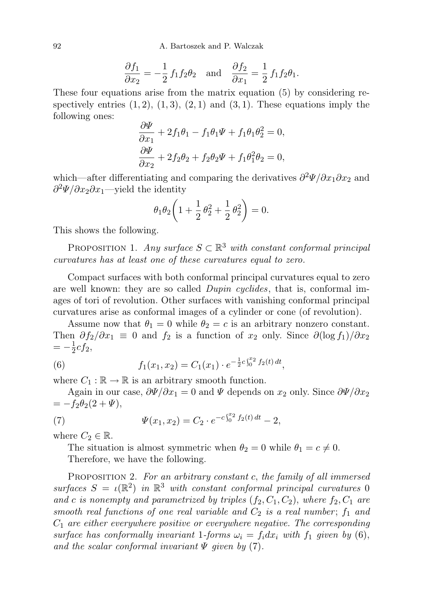92 A. Bartoszek and P. Walczak

$$
\frac{\partial f_1}{\partial x_2} = -\frac{1}{2} f_1 f_2 \theta_2 \quad \text{and} \quad \frac{\partial f_2}{\partial x_1} = \frac{1}{2} f_1 f_2 \theta_1.
$$

These four equations arise from the matrix equation (5) by considering respectively entries  $(1, 2)$ ,  $(1, 3)$ ,  $(2, 1)$  and  $(3, 1)$ . These equations imply the following ones:

$$
\frac{\partial \Psi}{\partial x_1} + 2f_1\theta_1 - f_1\theta_1\Psi + f_1\theta_1\theta_2^2 = 0,
$$
  

$$
\frac{\partial \Psi}{\partial x_2} + 2f_2\theta_2 + f_2\theta_2\Psi + f_1\theta_1^2\theta_2 = 0,
$$

which—after differentiating and comparing the derivatives  $\partial^2 \Psi / \partial x_1 \partial x_2$  and  $\partial^2 \Psi / \partial x_2 \partial x_1$ —yield the identity

$$
\theta_1 \theta_2 \left( 1 + \frac{1}{2} \theta_2^2 + \frac{1}{2} \theta_2^2 \right) = 0.
$$

This shows the following.

PROPOSITION 1. Any surface  $S \subset \mathbb{R}^3$  with constant conformal principal curvatures has at least one of these curvatures equal to zero.

Compact surfaces with both conformal principal curvatures equal to zero are well known: they are so called *Dupin cyclides*, that is, conformal images of tori of revolution. Other surfaces with vanishing conformal principal curvatures arise as conformal images of a cylinder or cone (of revolution).

Assume now that  $\theta_1 = 0$  while  $\theta_2 = c$  is an arbitrary nonzero constant. Then  $\partial f_2/\partial x_1 \equiv 0$  and  $f_2$  is a function of  $x_2$  only. Since  $\partial (\log f_1)/\partial x_2$  $=-\frac{1}{2}$  $\frac{1}{2}cf_2$ ,

(6) 
$$
f_1(x_1,x_2) = C_1(x_1) \cdot e^{-\frac{1}{2}c\int_0^{x_2} f_2(t) dt},
$$

where  $C_1 : \mathbb{R} \to \mathbb{R}$  is an arbitrary smooth function.

Again in our case,  $\frac{\partial \Psi}{\partial x_1} = 0$  and  $\Psi$  depends on  $x_2$  only. Since  $\frac{\partial \Psi}{\partial x_2}$  $= -f_2\theta_2(2+\Psi),$ 

(7) 
$$
\Psi(x_1, x_2) = C_2 \cdot e^{-c \int_0^{x_2} f_2(t) dt} - 2,
$$

where  $C_2 \in \mathbb{R}$ .

The situation is almost symmetric when  $\theta_2 = 0$  while  $\theta_1 = c \neq 0$ .

Therefore, we have the following.

PROPOSITION 2. For an arbitrary constant c, the family of all immersed surfaces  $S = \iota(\mathbb{R}^2)$  in  $\mathbb{R}^3$  with constant conformal principal curvatures 0 and c is nonempty and parametrized by triples  $(f_2, C_1, C_2)$ , where  $f_2, C_1$  are smooth real functions of one real variable and  $C_2$  is a real number;  $f_1$  and  $C_1$  are either everywhere positive or everywhere negative. The corresponding surface has conformally invariant 1-forms  $\omega_i = f_i dx_i$  with  $f_1$  given by (6), and the scalar conformal invariant  $\Psi$  given by (7).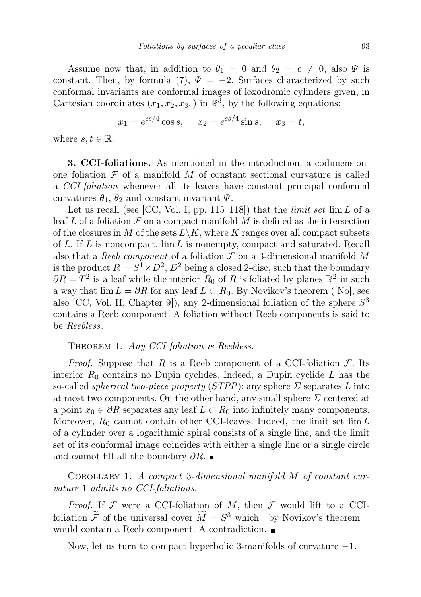Assume now that, in addition to  $\theta_1 = 0$  and  $\theta_2 = c \neq 0$ , also  $\Psi$  is constant. Then, by formula (7),  $\Psi = -2$ . Surfaces characterized by such conformal invariants are conformal images of loxodromic cylinders given, in Cartesian coordinates  $(x_1, x_2, x_3)$  in  $\mathbb{R}^3$ , by the following equations:

$$
x_1 = e^{cs/4} \cos s
$$
,  $x_2 = e^{cs/4} \sin s$ ,  $x_3 = t$ ,

where  $s, t \in \mathbb{R}$ .

3. CCI-foliations. As mentioned in the introduction, a codimensionone foliation  $\mathcal F$  of a manifold  $M$  of constant sectional curvature is called a CCI-foliation whenever all its leaves have constant principal conformal curvatures  $\theta_1$ ,  $\theta_2$  and constant invariant  $\Psi$ .

Let us recall (see [CC, Vol. I, pp. 115–118]) that the *limit set*  $\lim L$  of a leaf L of a foliation  $\mathcal F$  on a compact manifold M is defined as the intersection of the closures in M of the sets  $L\backslash K$ , where K ranges over all compact subsets of  $L$ . If  $L$  is noncompact,  $\lim L$  is nonempty, compact and saturated. Recall also that a Reeb component of a foliation  $\mathcal F$  on a 3-dimensional manifold M is the product  $R = S^1 \times D^2$ ,  $D^2$  being a closed 2-disc, such that the boundary  $\partial R = T^2$  is a leaf while the interior  $R_0$  of R is foliated by planes  $\mathbb{R}^2$  in such a way that  $\lim L = \partial R$  for any leaf  $L \subset R_0$ . By Novikov's theorem ([No], see also [CC, Vol. II, Chapter 9]), any 2-dimensional foliation of the sphere  $S<sup>3</sup>$ contains a Reeb component. A foliation without Reeb components is said to be Reebless.

THEOREM 1. Any CCI-foliation is Reebless.

*Proof.* Suppose that R is a Reeb component of a CCI-foliation  $\mathcal{F}$ . Its interior  $R_0$  contains no Dupin cyclides. Indeed, a Dupin cyclide  $L$  has the so-called *spherical two-piece property (STPP)*: any sphere  $\Sigma$  separates L into at most two components. On the other hand, any small sphere  $\Sigma$  centered at a point  $x_0 \in \partial R$  separates any leaf  $L \subset R_0$  into infinitely many components. Moreover,  $R_0$  cannot contain other CCI-leaves. Indeed, the limit set lim L of a cylinder over a logarithmic spiral consists of a single line, and the limit set of its conformal image coincides with either a single line or a single circle and cannot fill all the boundary  $\partial R$ .

Corollary 1. A compact 3-dimensional manifold M of constant curvature 1 admits no CCI-foliations.

*Proof.* If  $\mathcal F$  were a CCI-foliation of M, then  $\mathcal F$  would lift to a CCIfoliation  $\tilde{\mathcal{F}}$  of the universal cover  $\tilde{M} = S^3$  which—by Novikov's theorem would contain a Reeb component. A contradiction.

Now, let us turn to compact hyperbolic 3-manifolds of curvature −1.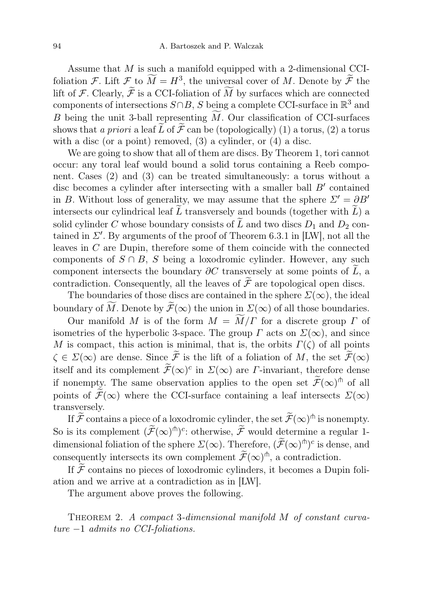Assume that  $M$  is such a manifold equipped with a 2-dimensional CCIfoliation F. Lift  $\mathcal F$  to  $\overline{M} = H^3$ , the universal cover of M. Denote by  $\overline{\mathcal F}$  the lift of F. Clearly,  $\widetilde{\mathcal{F}}$  is a CCI-foliation of  $\widetilde{M}$  by surfaces which are connected components of intersections  $S \cap B$ , S being a complete CCI-surface in  $\mathbb{R}^3$  and B being the unit 3-ball representing  $\tilde{M}$ . Our classification of CCI-surfaces shows that a priori a leaf  $\tilde{L}$  of  $\tilde{\mathcal{F}}$  can be (topologically) (1) a torus, (2) a torus with a disc (or a point) removed, (3) a cylinder, or (4) a disc.

We are going to show that all of them are discs. By Theorem 1, tori cannot occur: any toral leaf would bound a solid torus containing a Reeb component. Cases (2) and (3) can be treated simultaneously: a torus without a disc becomes a cylinder after intersecting with a smaller ball  $B'$  contained in B. Without loss of generality, we may assume that the sphere  $\Sigma' = \partial B'$ intersects our cylindrical leaf  $\overline{L}$  transversely and bounds (together with  $\overline{L}$ ) a solid cylinder C whose boundary consists of  $\widetilde{L}$  and two discs  $D_1$  and  $D_2$  contained in  $\Sigma'$ . By arguments of the proof of Theorem 6.3.1 in [LW], not all the leaves in  $C$  are Dupin, therefore some of them coincide with the connected components of  $S \cap B$ , S being a loxodromic cylinder. However, any such component intersects the boundary  $\partial C$  transversely at some points of  $\overline{L}$ , a contradiction. Consequently, all the leaves of  $\widetilde{\mathcal{F}}$  are topological open discs.

The boundaries of those discs are contained in the sphere  $\Sigma(\infty)$ , the ideal boundary of  $\widetilde{M}$ . Denote by  $\widetilde{\mathcal{F}}(\infty)$  the union in  $\Sigma(\infty)$  of all those boundaries.

Our manifold M is of the form  $M = \widetilde{M}/\Gamma$  for a discrete group  $\Gamma$  of isometries of the hyperbolic 3-space. The group  $\Gamma$  acts on  $\Sigma(\infty)$ , and since M is compact, this action is minimal, that is, the orbits  $\Gamma(\zeta)$  of all points  $\zeta \in \Sigma(\infty)$  are dense. Since  $\widetilde{\mathcal{F}}$  is the lift of a foliation of M, the set  $\widetilde{\mathcal{F}}(\infty)$ itself and its complement  $\widetilde{\mathcal{F}}(\infty)^c$  in  $\Sigma(\infty)$  are *Γ*-invariant, therefore dense if nonempty. The same observation applies to the open set  $\widetilde{\mathcal{F}}(\infty)$ <sup>th</sup> of all points of  $\widetilde{\mathcal{F}}(\infty)$  where the CCI-surface containing a leaf intersects  $\Sigma(\infty)$ transversely.

If  $\widetilde{\mathcal{F}}$  contains a piece of a loxodromic cylinder, the set  $\widetilde{\mathcal{F}}(\infty)$ <sup> $\Uparrow$ </sup> is nonempty. So is its complement  $(\widetilde{\mathcal{F}}(\infty)^{\hat{\mathsf{m}}})^c$ : otherwise,  $\widetilde{\mathcal{F}}$  would determine a regular 1dimensional foliation of the sphere  $\Sigma(\infty)$ . Therefore,  $(\widetilde{\mathcal{F}}(\infty)^{\hat{\mathsf{m}}})^c$  is dense, and consequently intersects its own complement  $\widetilde{\mathcal{F}}(\infty)$ <sup> $\dagger$ </sup>, a contradiction.

If  $\widetilde{\mathcal{F}}$  contains no pieces of loxodromic cylinders, it becomes a Dupin foliation and we arrive at a contradiction as in [LW].

The argument above proves the following.

THEOREM 2. A compact 3-dimensional manifold M of constant curvature −1 admits no CCI-foliations.